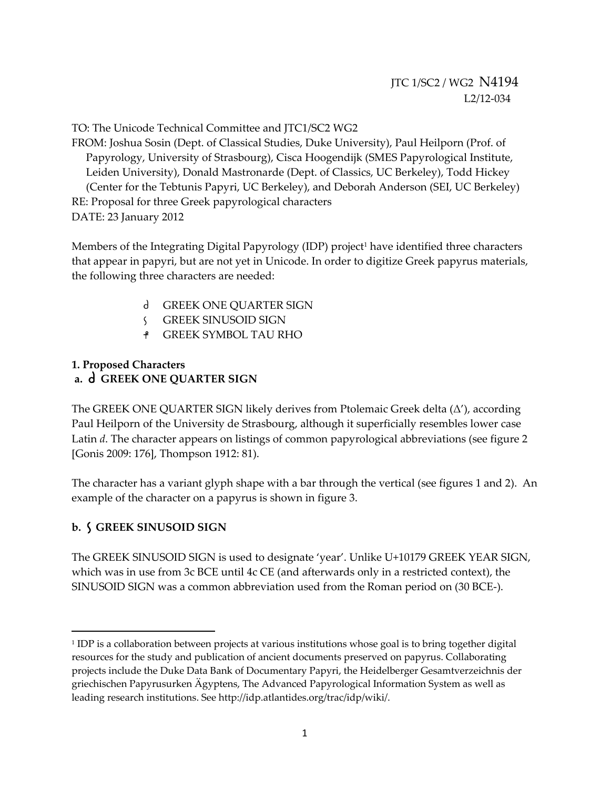TO: The Unicode Technical Committee and JTC1/SC2 WG2

FROM: Joshua Sosin (Dept. of Classical Studies, Duke University), Paul Heilporn (Prof. of Papyrology, University of Strasbourg), Cisca Hoogendijk (SMES Papyrological Institute, Leiden University), Donald Mastronarde (Dept. of Classics, UC Berkeley), Todd Hickey (Center for the Tebtunis Papyri, UC Berkeley), and Deborah Anderson (SEI, UC Berkeley) RE: Proposal for three Greek papyrological characters DATE: 23 January 2012

Members of the Integrating Digital Papyrology (IDP) project<sup>1</sup> have identified three characters that appear in papyri, but are not yet in Unicode. In order to digitize Greek papyrus materials, the following three characters are needed:

- d GREEK ONE QUARTER SIGN
- GREEK SINUSOID SIGN
- GREEK SYMBOL TAU RHO

## **1. Proposed Characters a. GREEK ONE QUARTER SIGN**

The GREEK ONE QUARTER SIGN likely derives from Ptolemaic Greek delta  $(\Delta')$ , according Paul Heilporn of the University de Strasbourg, although it superficially resembles lower case Latin *d*. The character appears on listings of common papyrological abbreviations (see figure 2 [Gonis 2009: 176], Thompson 1912: 81).

The character has a variant glyph shape with a bar through the vertical (see figures 1 and 2). An example of the character on a papyrus is shown in figure 3.

## **b. GREEK SINUSOID SIGN**

The GREEK SINUSOID SIGN is used to designate 'year'. Unlike U+10179 GREEK YEAR SIGN, which was in use from 3c BCE until 4c CE (and afterwards only in a restricted context), the SINUSOID SIGN was a common abbreviation used from the Roman period on (30 BCE‐).

<sup>&</sup>lt;sup>1</sup> IDP is a collaboration between projects at various institutions whose goal is to bring together digital resources for the study and publication of ancient documents preserved on papyrus. Collaborating projects include the Duke Data Bank of Documentary Papyri, the Heidelberger Gesamtverzeichnis der griechischen Papyrusurken Ägyptens, The Advanced Papyrological Information System as well as leading research institutions. See http://idp.atlantides.org/trac/idp/wiki/.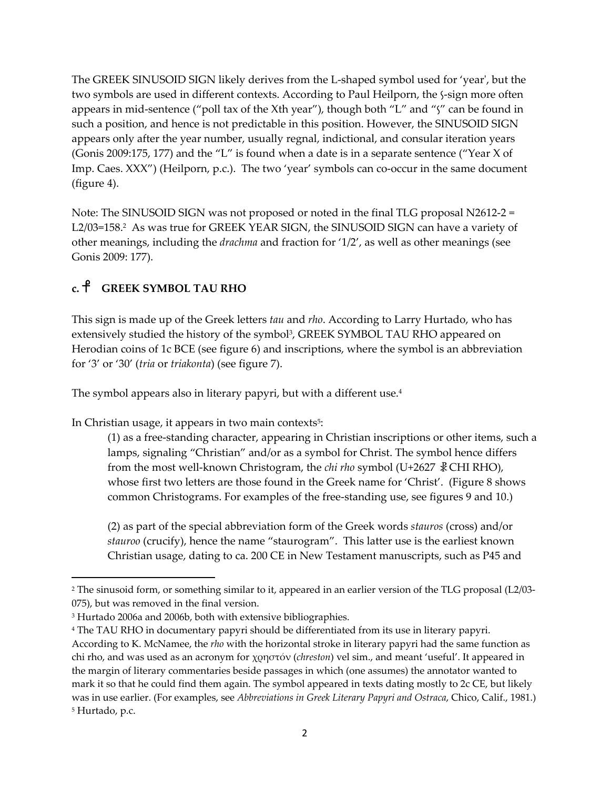The GREEK SINUSOID SIGN likely derives from the L‐shaped symbol used for 'yearʹ, but the two symbols are used in different contexts. According to Paul Heilporn, the  $\frac{1}{2}$ -sign more often appears in mid-sentence ("poll tax of the Xth year"), though both "L" and "'s" can be found in such a position, and hence is not predictable in this position. However, the SINUSOID SIGN appears only after the year number, usually regnal, indictional, and consular iteration years (Gonis 2009:175, 177) and the "L" is found when a date is in a separate sentence ("Year X of Imp. Caes. XXX") (Heilporn, p.c.). The two 'year' symbols can co-occur in the same document (figure 4).

Note: The SINUSOID SIGN was not proposed or noted in the final TLG proposal N2612‐2 = L2/03=158.<sup>2</sup> As was true for GREEK YEAR SIGN, the SINUSOID SIGN can have a variety of other meanings, including the *drachma* and fraction for '1/2', as well as other meanings (see Gonis 2009: 177).

# **c. GREEK SYMBOL TAU RHO**

This sign is made up of the Greek letters *tau* and *rho*. According to Larry Hurtado, who has extensively studied the history of the symbol<sup>3</sup>, GREEK SYMBOL TAU RHO appeared on Herodian coins of 1c BCE (see figure 6) and inscriptions, where the symbol is an abbreviation for '3' or '30' (*tria* or *triakonta*) (see figure 7).

The symbol appears also in literary papyri, but with a different use.<sup>4</sup>

In Christian usage, it appears in two main contexts<sup>5</sup>:

(1) as a free‐standing character, appearing in Christian inscriptions or other items, such a lamps, signaling "Christian" and/or as a symbol for Christ. The symbol hence differs from the most well‐known Christogram, the *chi rho* symbol (U+2627 ☧CHI RHO), whose first two letters are those found in the Greek name for 'Christ'. (Figure 8 shows common Christograms. For examples of the free‐standing use, see figures 9 and 10.)

(2) as part of the special abbreviation form of the Greek words *stauros* (cross) and/or *stauroo* (crucify), hence the name "staurogram". This latter use is the earliest known Christian usage, dating to ca. 200 CE in New Testament manuscripts, such as P45 and

<sup>2</sup> The sinusoid form, or something similar to it, appeared in an earlier version of the TLG proposal (L2/03‐ 075), but was removed in the final version.

<sup>3</sup> Hurtado 2006a and 2006b, both with extensive bibliographies.

<sup>4</sup> The TAU RHO in documentary papyri should be differentiated from its use in literary papyri.

According to K. McNamee, the *rho* with the horizontal stroke in literary papyri had the same function as chi rho, and was used as an acronym for χρηστόν (*chreston*) vel sim., and meant 'useful'. It appeared in the margin of literary commentaries beside passages in which (one assumes) the annotator wanted to mark it so that he could find them again. The symbol appeared in texts dating mostly to 2c CE, but likely was in use earlier. (For examples, see *Abbreviations in Greek Literary Papyri and Ostraca*, Chico, Calif., 1981.) <sup>5</sup> Hurtado, p.c.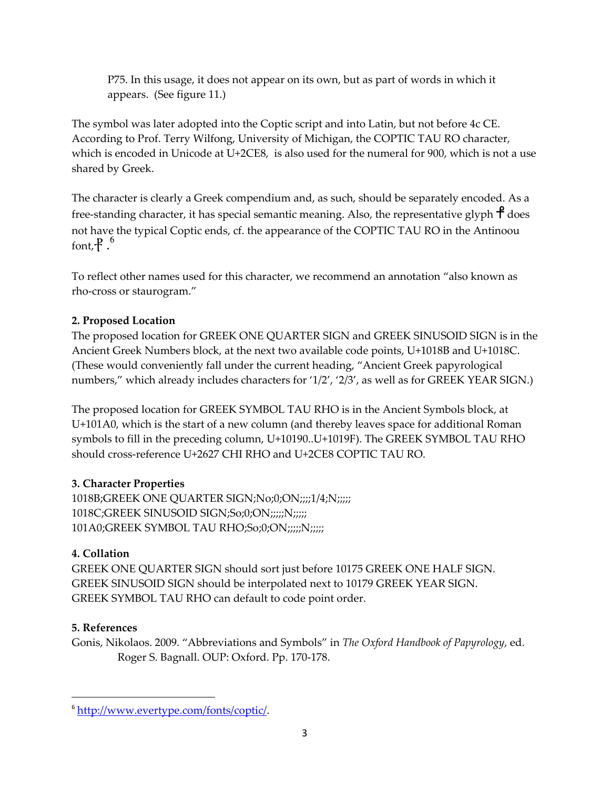P75. In this usage, it does not appear on its own, but as part of words in which it appears. (See figure 11.)

The symbol was later adopted into the Coptic script and into Latin, but not before 4c CE. According to Prof. Terry Wilfong, University of Michigan, the COPTIC TAU RO character, which is encoded in Unicode at U+2CE8, is also used for the numeral for 900, which is not a use shared by Greek.

The character is clearly a Greek compendium and, as such, should be separately encoded. As a free-standing character, it has special semantic meaning. Also, the representative glyph  $\uparrow$  does not have the typical Coptic ends, cf. the appearance of the COPTIC TAU RO in the Antinoou font,  $\frac{1}{2}$ .

To reflect other names used for this character, we recommend an annotation "also known as rho‐cross or staurogram."

# **2. Proposed Location**

The proposed location for GREEK ONE QUARTER SIGN and GREEK SINUSOID SIGN is in the Ancient Greek Numbers block, at the next two available code points, U+1018B and U+1018C. (These would conveniently fall under the current heading, "Ancient Greek papyrological numbers," which already includes characters for '1/2', '2/3', as well as for GREEK YEAR SIGN.)

The proposed location for GREEK SYMBOL TAU RHO is in the Ancient Symbols block, at U+101A0, which is the start of a new column (and thereby leaves space for additional Roman symbols to fill in the preceding column, U+10190..U+1019F). The GREEK SYMBOL TAU RHO should cross-reference U+2627 CHI RHO and U+2CE8 COPTIC TAU RO.

## **3. Character Properties**

1018B;GREEK ONE QUARTER SIGN;No;0;ON;;;;1/4;N;;;;;; 1018C;GREEK SINUSOID SIGN;So;0;ON;;;;;;N;;;;; 101A0;GREEK SYMBOL TAU RHO;So;0;ON;;;;;;N;;;;;

# **4. Collation**

GREEK ONE QUARTER SIGN should sort just before 10175 GREEK ONE HALF SIGN. GREEK SINUSOID SIGN should be interpolated next to 10179 GREEK YEAR SIGN. GREEK SYMBOL TAU RHO can default to code point order.

## **5. References**

Gonis, Nikolaos. 2009. "Abbreviations and Symbols" in *The Oxford Handbook of Papyrology*, ed. Roger S. Bagnall. OUP: Oxford. Pp. 170‐178.

<sup>6</sup> http://www.evertype.com/fonts/coptic/.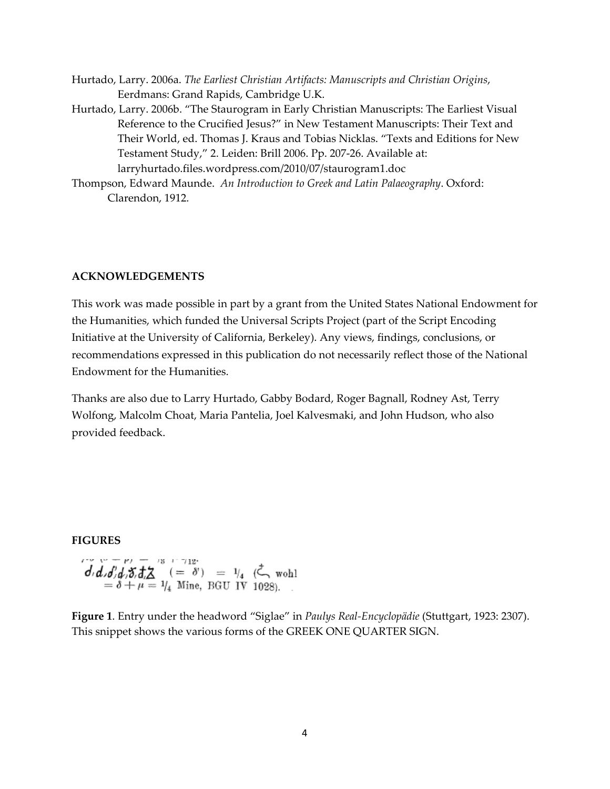- Hurtado, Larry. 2006a. *The Earliest Christian Artifacts: Manuscripts and Christian Origins*, Eerdmans: Grand Rapids, Cambridge U.K.
- Hurtado, Larry. 2006b. "The Staurogram in Early Christian Manuscripts: The Earliest Visual Reference to the Crucified Jesus?" in New Testament Manuscripts: Their Text and Their World, ed. Thomas J. Kraus and Tobias Nicklas. "Texts and Editions for New Testament Study," 2. Leiden: Brill 2006. Pp. 207‐26. Available at: larryhurtado.files.wordpress.com/2010/07/staurogram1.doc
- Thompson, Edward Maunde. *An Introduction to Greek and Latin Palaeography*. Oxford: Clarendon, 1912.

#### **ACKNOWLEDGEMENTS**

This work was made possible in part by a grant from the United States National Endowment for the Humanities, which funded the Universal Scripts Project (part of the Script Encoding Initiative at the University of California, Berkeley). Any views, findings, conclusions, or recommendations expressed in this publication do not necessarily reflect those of the National Endowment for the Humanities.

Thanks are also due to Larry Hurtado, Gabby Bodard, Roger Bagnall, Rodney Ast, Terry Wolfong, Malcolm Choat, Maria Pantelia, Joel Kalvesmaki, and John Hudson, who also provided feedback.

#### **FIGURES**

$$
d_1 d_2 d_3 d_3 d_4 \Sigma = \delta + \mu = 1/4 \text{ Mine, BGU IV 1028}.
$$

**Figure 1**. Entry under the headword "Siglae" in *Paulys Real‐Encyclopädie* (Stuttgart, 1923: 2307). This snippet shows the various forms of the GREEK ONE QUARTER SIGN.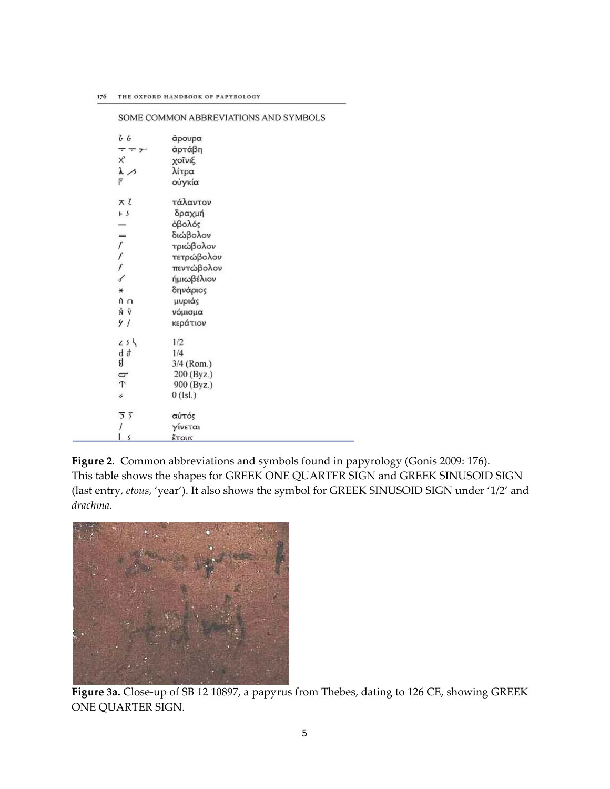| 66                                                     | άρουρα       |
|--------------------------------------------------------|--------------|
| $-\frac{1}{x}$                                         | άρτάβη       |
| Χô                                                     | χοΐνιξ       |
| $\lambda >$                                            | λίτρα        |
| F                                                      | ούγκία       |
| スて                                                     | τάλαντον     |
| r s                                                    | δραχμή       |
|                                                        | όβολός       |
| ═                                                      | διώβολον     |
|                                                        | τριώβολον    |
|                                                        | τετρώβολον   |
| $\begin{array}{c} \Gamma \ f \ f \ \delta \end{array}$ | πεντώβολον   |
|                                                        | ήμιωβέλιον   |
| $\ast$                                                 | δηνάριος     |
| n n                                                    | μυριάς       |
| ΝŮ                                                     | νόμισμα      |
| 41                                                     | κεράτιον     |
| $25\sqrt{ }$                                           | 1/2          |
| d d                                                    | 1/4          |
| ą                                                      | 3/4 (Rom.)   |
| q                                                      | 200 (Byz.)   |
| $\tau$                                                 | 900 (Byz.)   |
| i                                                      | $0$ (Isl.)   |
| $\overline{5}$ $\overline{5}$                          | αὐτός        |
|                                                        | γίνεται      |
| 5                                                      | <b>ŽTOUC</b> |

SOME COMMON ABBREVIATIONS AND SYMBOLS

**Figure 2**. Common abbreviations and symbols found in papyrology (Gonis 2009: 176). This table shows the shapes for GREEK ONE QUARTER SIGN and GREEK SINUSOID SIGN (last entry, *etous*, 'year'). It also shows the symbol for GREEK SINUSOID SIGN under '1/2' and *drachma*.



**Figure 3a.** Close‐up of SB 12 10897, a papyrus from Thebes, dating to 126 CE, showing GREEK ONE QUARTER SIGN.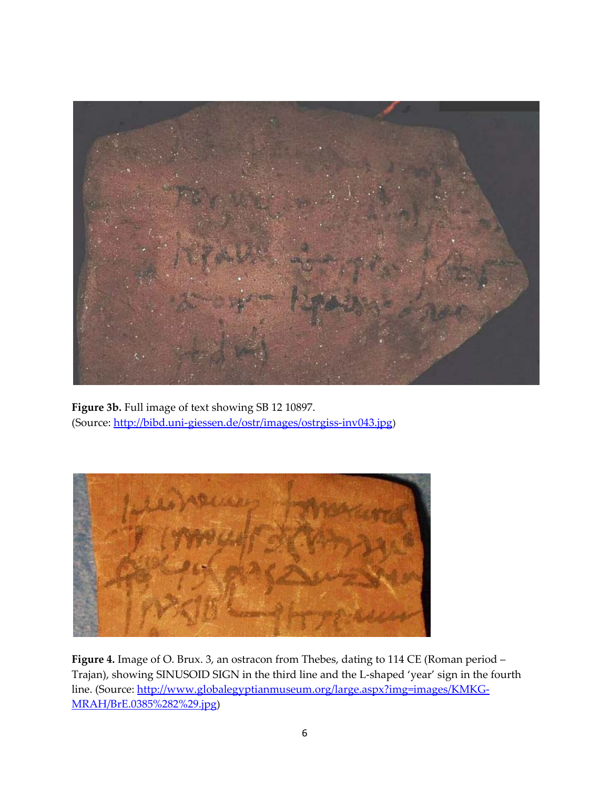

**Figure 3b.** Full image of text showing SB 12 10897. (Source: http://bibd.uni‐giessen.de/ostr/images/ostrgiss‐inv043.jpg)



**Figure 4.** Image of O. Brux. 3, an ostracon from Thebes, dating to 114 CE (Roman period – Trajan), showing SINUSOID SIGN in the third line and the L‐shaped 'year' sign in the fourth line. (Source: http://www.globalegyptianmuseum.org/large.aspx?img=images/KMKG-MRAH/BrE.0385%282%29.jpg)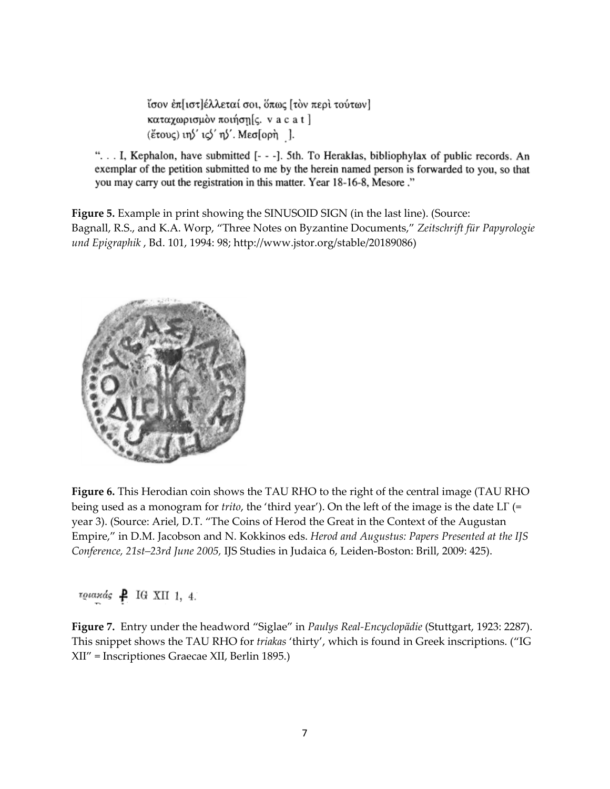ίσον έπ[ιστ]έλλεταί σοι, όπως [τὸν περὶ τούτων] καταχωρισμόν ποιήση[ς. v a c a t ] (έτους) ιη ' ις 'η'. Μεσ[ορη ].

"... I, Kephalon, have submitted [- - -]. 5th. To Heraklas, bibliophylax of public records. An exemplar of the petition submitted to me by the herein named person is forwarded to you, so that you may carry out the registration in this matter. Year 18-16-8, Mesore."

**Figure 5.** Example in print showing the SINUSOID SIGN (in the last line). (Source: Bagnall, R.S., and K.A. Worp, "Three Notes on Byzantine Documents," *Zeitschrift für Papyrologie und Epigraphik* , Bd. 101, 1994: 98; http://www.jstor.org/stable/20189086)



**Figure 6.** This Herodian coin shows the TAU RHO to the right of the central image (TAU RHO being used as a monogram for *trito*, the 'third year'). On the left of the image is the date LΓ (= year 3). (Source: Ariel, D.T. "The Coins of Herod the Great in the Context of the Augustan Empire," in D.M. Jacobson and N. Kokkinos eds. *Herod and Augustus: Papers Presented at the IJS Conference, 21st–23rd June 2005,* IJS Studies in Judaica 6, Leiden‐Boston: Brill, 2009: 425).

 $r\omega$ axás  $\uparrow$  IG XII 1, 4.

**Figure 7.** Entry under the headword "Siglae" in *Paulys Real‐Encyclopädie* (Stuttgart, 1923: 2287). This snippet shows the TAU RHO for *triakas* 'thirty', which is found in Greek inscriptions. ("IG XII" = Inscriptiones Graecae XII, Berlin 1895.)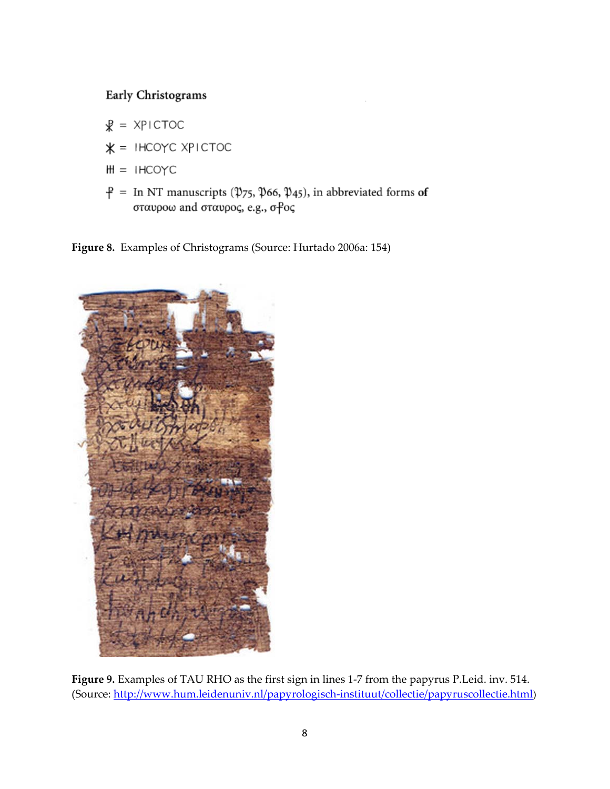# Early Christograms

- $R = XPICTOC$
- $* =$  IHCOYC XPICTOC
- $H = IHCOYC$
- $\hat{P}$  = In NT manuscripts ( $\hat{\psi}_7$ 5,  $\hat{\psi}_6$ 6,  $\hat{\psi}_4$ 5), in abbreviated forms of σταυροω and σταυρος, e.g., σ<sup>ρ</sup>ος

**Figure 8.** Examples of Christograms (Source: Hurtado 2006a: 154)



**Figure 9.** Examples of TAU RHO as the first sign in lines 1‐7 from the papyrus P.Leid. inv. 514. (Source: http://www.hum.leidenuniv.nl/papyrologisch‐instituut/collectie/papyruscollectie.html)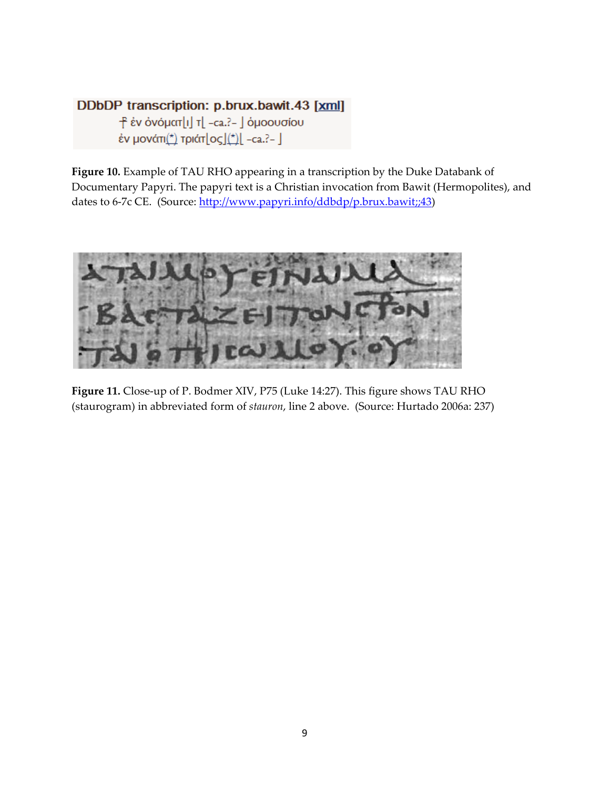# DDbDP transcription: p.brux.bawit.43 [xml]

- - Ε έν όνόματ[ι] τ[ -ca.?- ] όμοουσίου έν μονάτι(\*) τριάτ $\lfloor o \varsigma \rfloor$ (\*) $\lfloor$  -ca.?-  $\rfloor$ 

**Figure 10.** Example of TAU RHO appearing in a transcription by the Duke Databank of Documentary Papyri. The papyri text is a Christian invocation from Bawit (Hermopolites), and dates to 6-7c CE. (Source: http://www.papyri.info/ddbdp/p.brux.bawit;;43)



**Figure 11.** Close‐up of P. Bodmer XIV, P75 (Luke 14:27). This figure shows TAU RHO (staurogram) in abbreviated form of *stauron*, line 2 above. (Source: Hurtado 2006a: 237)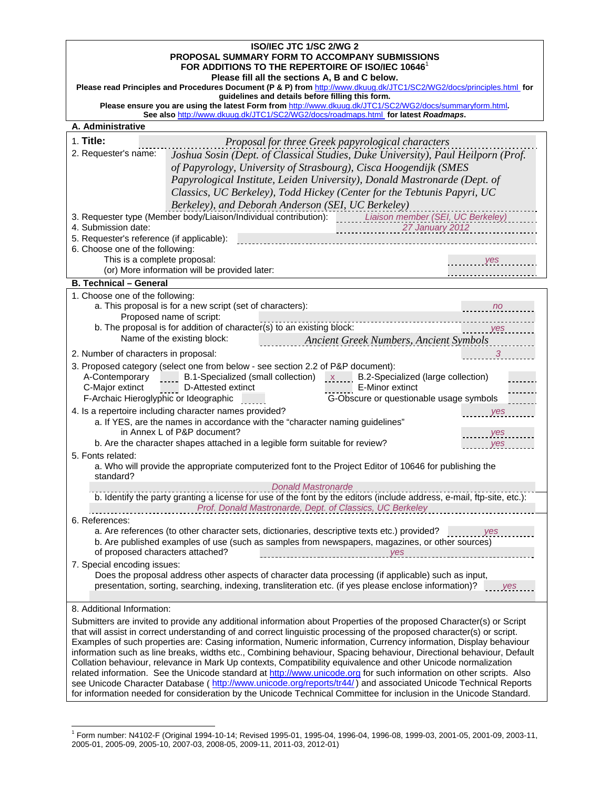#### **ISO/IEC JTC 1/SC 2/WG 2 PROPOSAL SUMMARY FORM TO ACCOMPANY SUBMISSIONS**  FOR ADDITIONS TO THE REPERTOIRE OF ISO/IEC 10646<sup>1</sup> **Please fill all the sections A, B and C below.**  Please read Principles and Procedures Document (P & P) from http://www.dkuug.dk/JTC1/SC2/WG2/docs/principles.html for **guidelines and details before filling this form. Please ensure you are using the latest Form from** http://www.dkuug.dk/JTC1/SC2/WG2/docs/summaryform.html See also http://www.dkuug.dk/JTC1/SC2/WG2/docs/roadmaps.html for latest *Roadmaps*. **A. Administrative**  1. **Title:** *Proposal for three Greek papyrological characters* 2. Requester's name: *Joshua Sosin (Dept. of Classical Studies, Duke University), Paul Heilporn (Prof. of Papyrology, University of Strasbourg), Cisca Hoogendijk (SMES Papyrological Institute, Leiden University), Donald Mastronarde (Dept. of Classics, UC Berkeley), Todd Hickey (Center for the Tebtunis Papyri, UC Berkeley), and Deborah Anderson (SEI, UC Berkeley)* 3. Requester type (Member body/Liaison/Individual contribution): *Liaison member (SEI, UC Berkeley)*  4. Submission date: *27 January 2012*  5. Requester's reference (if applicable): 6. Choose one of the following: This is a complete proposal: *yes*  (or) More information will be provided later: **B. Technical – General**  1. Choose one of the following: a. This proposal is for a new script (set of characters): *no*  Proposed name of script: b. The proposal is for addition of character(s) to an existing block: *yes*  Name of the existing block: *Ancient Greek Numbers, Ancient Symbols* 2. Number of characters in proposal: *3*  3. Proposed category (select one from below - see section 2.2 of P&P document): A-Contemporary B.1-Specialized (small collection)<br>
C-Major extinct D-Attested extinct B.2-Specialized (large collection)<br>
F-Archaic Hieroglyphic or Ideographic<br>
G-Obscure or questionable usage symbols C-Major extinct D-Attested extinct E-Minor extinct F-Archaic Hieroglyphic or Ideographic G-CDSCure or questionable usage symbols 4. Is a repertoire including character names provided? *yes*  a. If YES, are the names in accordance with the "character naming guidelines" in Annex L of P&P document? *yes*  b. Are the character shapes attached in a legible form suitable for review? 5. Fonts related: a. Who will provide the appropriate computerized font to the Project Editor of 10646 for publishing the standard? *Donald Mastronarde*  b. Identify the party granting a license for use of the font by the editors (include address, e-mail, ftp-site, etc.): *Prof. Donald Mastronarde, Dept. of Classics, UC Berkeley*  6. References: a. Are references (to other character sets, dictionaries, descriptive texts etc.) provided? *www.massex.community*  b. Are published examples of use (such as samples from newspapers, magazines, or other sources) of proposed characters attached? *yes*  7. Special encoding issues: Does the proposal address other aspects of character data processing (if applicable) such as input, presentation, sorting, searching, indexing, transliteration etc. (if yes please enclose information)? *wes* 8. Additional Information: Submitters are invited to provide any additional information about Properties of the proposed Character(s) or Script that will assist in correct understanding of and correct linguistic processing of the proposed character(s) or script. Examples of such properties are: Casing information, Numeric information, Currency information, Display behaviour information such as line breaks, widths etc., Combining behaviour, Spacing behaviour, Directional behaviour, Default Collation behaviour, relevance in Mark Up contexts, Compatibility equivalence and other Unicode normalization related information. See the Unicode standard at http://www.unicode.org for such information on other scripts. Also

see Unicode Character Database ( http://www.unicode.org/reports/tr44/) and associated Unicode Technical Reports for information needed for consideration by the Unicode Technical Committee for inclusion in the Unicode Standard.

l TP 1 PT Form number: N4102-F (Original 1994-10-14; Revised 1995-01, 1995-04, 1996-04, 1996-08, 1999-03, 2001-05, 2001-09, 2003-11, 2005-01, 2005-09, 2005-10, 2007-03, 2008-05, 2009-11, 2011-03, 2012-01)